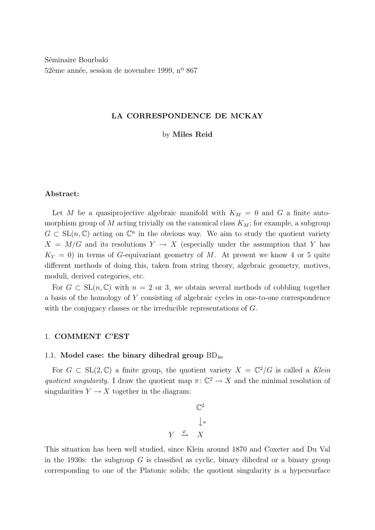Séminaire Bourbaki 52ème année, session de novembre 1999, n<sup>o</sup> 867

# LA CORRESPONDENCE DE MCKAY

# by Miles Reid

# Abstract:

Let M be a quasiprojective algebraic manifold with  $K_M = 0$  and G a finite automorphism group of  $M$  acting trivially on the canonical class  $K_M$ ; for example, a subgroup  $G \subset SL(n, \mathbb{C})$  acting on  $\mathbb{C}^n$  in the obvious way. We aim to study the quotient variety  $X = M/G$  and its resolutions  $Y \to X$  (especially under the assumption that Y has  $K_Y = 0$ ) in terms of G-equivariant geometry of M. At present we know 4 or 5 quite different methods of doing this, taken from string theory, algebraic geometry, motives, moduli, derived categories, etc.

For  $G \subset SL(n, \mathbb{C})$  with  $n = 2$  or 3, we obtain several methods of cobbling together a basis of the homology of Y consisting of algebraic cycles in one-to-one correspondence with the conjugacy classes or the irreducible representations of G.

# 1. COMMENT C'EST

## 1.1. Model case: the binary dihedral group  $BD_{4n}$

For  $G \subset SL(2,\mathbb{C})$  a finite group, the quotient variety  $X = \mathbb{C}^2/G$  is called a Klein quotient singularity. I draw the quotient map  $\pi: \mathbb{C}^2 \to X$  and the minimal resolution of singularities  $Y \to X$  together in the diagram:

$$
\begin{array}{ccc}\n & \mathbb{C}^2 \\
 & \downarrow_{\pi} \\
 Y & \xrightarrow{\varphi} & X\n\end{array}
$$

This situation has been well studied, since Klein around 1870 and Coxeter and Du Val in the 1930s: the subgroup  $G$  is classified as cyclic, binary dihedral or a binary group corresponding to one of the Platonic solids; the quotient singularity is a hypersurface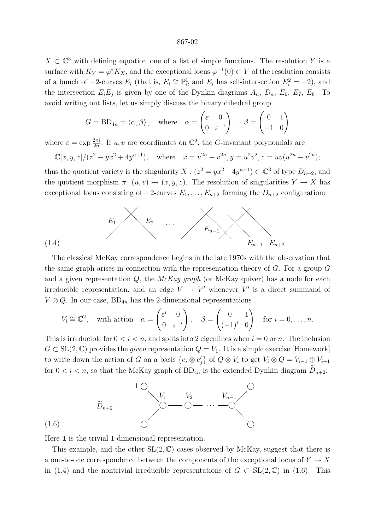$X \subset \mathbb{C}^3$  with defining equation one of a list of simple functions. The resolution Y is a surface with  $K_Y = \varphi^* K_X$ , and the exceptional locus  $\varphi^{-1}(0) \subset Y$  of the resolution consists of a bunch of  $-2$ -curves  $E_i$  (that is,  $E_i \cong \mathbb{P}_{\mathbb{C}}^1$  and  $E_i$  has self-intersection  $E_i^2 = -2$ ), and the intersection  $E_i E_j$  is given by one of the Dynkin diagrams  $A_n$ ,  $D_n$ ,  $E_6$ ,  $E_7$ ,  $E_8$ . To avoid writing out lists, let us simply discuss the binary dihedral group

$$
G = BD_{4n} = \langle \alpha, \beta \rangle, \quad \text{where} \quad \alpha = \begin{pmatrix} \varepsilon & 0 \\ 0 & \varepsilon^{-1} \end{pmatrix}, \quad \beta = \begin{pmatrix} 0 & 1 \\ -1 & 0 \end{pmatrix}
$$

where  $\varepsilon = \exp \frac{2\pi i}{2n}$ . If  $u, v$  are coordinates on  $\mathbb{C}^2$ , the *G*-invariant polynomials are

$$
\mathbb{C}[x, y, z]/(z^2 - yx^2 + 4y^{n+1}),
$$
 where  $x = u^{2n} + v^{2n}, y = u^2v^2, z = uv(u^{2n} - v^{2n});$ 

thus the quotient variety is the singularity  $X : (z^2 = yx^2 - 4y^{n+1}) \subset \mathbb{C}^3$  of type  $D_{n+2}$ , and the quotient morphism  $\pi: (u, v) \mapsto (x, y, z)$ . The resolution of singularities  $Y \to X$  has exceptional locus consisting of  $-2$ -curves  $E_1, \ldots, E_{n+2}$  forming the  $D_{n+2}$  configuration:



The classical McKay correspondence begins in the late 1970s with the observation that the same graph arises in connection with the representation theory of  $G$ . For a group  $G$ and a given representation  $Q$ , the McKay graph (or McKay quiver) has a node for each irreducible representation, and an edge  $V \rightarrow V'$  whenever V' is a direct summand of  $V \otimes Q$ . In our case,  $BD_{4n}$  has the 2-dimensional representations

$$
V_i \cong \mathbb{C}^2
$$
, with action  $\alpha = \begin{pmatrix} \varepsilon^i & 0 \\ 0 & \varepsilon^{-i} \end{pmatrix}$ ,  $\beta = \begin{pmatrix} 0 & 1 \\ (-1)^i & 0 \end{pmatrix}$  for  $i = 0, ..., n$ .

This is irreducible for  $0 < i < n$ , and splits into 2 eigenlines when  $i = 0$  or n. The inclusion  $G \subset SL(2,\mathbb{C})$  provides the *given* representation  $Q = V_1$ . It is a simple exercise [Homework] to write down the action of G on a basis  $\{e_i \otimes e'_j\}$  of  $Q \otimes V_i$  to get  $V_i \otimes Q = V_{i-1} \oplus V_{i+1}$ for  $0 < i < n$ , so that the McKay graph of BD<sub>4n</sub> is the extended Dynkin diagram  $\widetilde{D}_{n+2}$ .



Here 1 is the trivial 1-dimensional representation.

(1.4)

This example, and the other  $SL(2, \mathbb{C})$  cases observed by McKay, suggest that there is a one-to-one correspondence between the components of the exceptional locus of  $Y \to X$ in (1.4) and the nontrivial irreducible representations of  $G \subset SL(2,\mathbb{C})$  in (1.6). This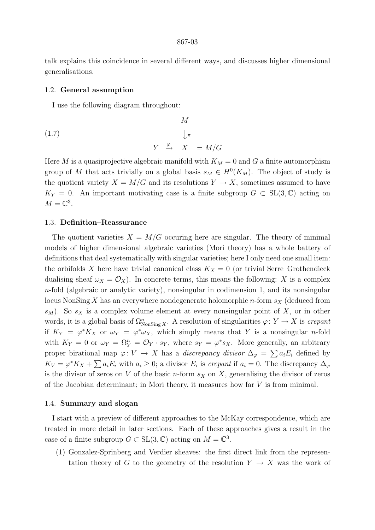talk explains this coincidence in several different ways, and discusses higher dimensional generalisations.

# 1.2. General assumption

I use the following diagram throughout:

(1.7) 
$$
M
$$

$$
\downarrow \pi
$$

$$
Y \xrightarrow{\varphi} X = M/G
$$

Here M is a quasiprojective algebraic manifold with  $K_M = 0$  and G a finite automorphism group of M that acts trivially on a global basis  $s_M \in H^0(K_M)$ . The object of study is the quotient variety  $X = M/G$  and its resolutions  $Y \to X$ , sometimes assumed to have  $K_Y = 0$ . An important motivating case is a finite subgroup  $G \subset SL(3,\mathbb{C})$  acting on  $M=\mathbb{C}^3$ .

## 1.3. Definition–Reassurance

The quotient varieties  $X = M/G$  occuring here are singular. The theory of minimal models of higher dimensional algebraic varieties (Mori theory) has a whole battery of definitions that deal systematically with singular varieties; here I only need one small item: the orbifolds X here have trivial canonical class  $K_X = 0$  (or trivial Serre–Grothendieck dualising sheaf  $\omega_X = \mathcal{O}_X$ ). In concrete terms, this means the following: X is a complex n-fold (algebraic or analytic variety), nonsingular in codimension 1, and its nonsingular locus NonSing X has an everywhere nondegenerate holomorphic n-form  $s<sub>X</sub>$  (deduced from  $s_M$ ). So  $s_X$  is a complex volume element at every nonsingular point of X, or in other words, it is a global basis of  $\Omega_{\text{NonSing }X}^n$ . A resolution of singularities  $\varphi \colon Y \to X$  is crepant if  $K_Y = \varphi^* K_X$  or  $\omega_Y = \varphi^* \omega_X$ , which simply means that Y is a nonsingular n-fold with  $K_Y = 0$  or  $\omega_Y = \Omega_Y^n = \mathcal{O}_Y \cdot s_Y$ , where  $s_Y = \varphi^* s_X$ . More generally, an arbitrary proper birational map  $\varphi: V \to X$  has a *discrepancy divisor*  $\Delta_{\varphi} = \sum a_i E_i$  defined by  $K_V = \varphi^* K_X + \sum a_i E_i$  with  $a_i \geq 0$ ; a divisor  $E_i$  is crepant if  $a_i = 0$ . The discrepancy  $\Delta_{\varphi}$ is the divisor of zeros on V of the basic n-form  $s<sub>X</sub>$  on X, generalising the divisor of zeros of the Jacobian determinant; in Mori theory, it measures how far  $V$  is from minimal.

## 1.4. Summary and slogan

I start with a preview of different approaches to the McKay correspondence, which are treated in more detail in later sections. Each of these approaches gives a result in the case of a finite subgroup  $G \subset SL(3, \mathbb{C})$  acting on  $M = \mathbb{C}^3$ .

(1) Gonzalez-Sprinberg and Verdier sheaves: the first direct link from the representation theory of G to the geometry of the resolution  $Y \to X$  was the work of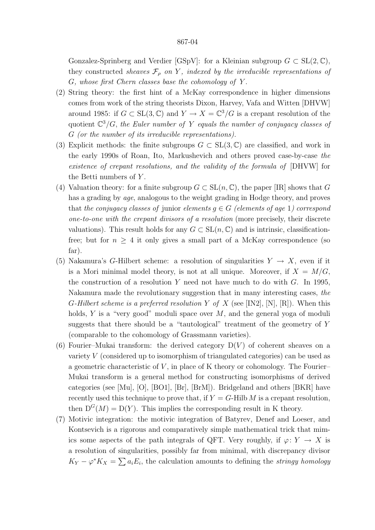Gonzalez-Sprinberg and Verdier  $[GSpV]$ : for a Kleinian subgroup  $G \subset SL(2, \mathbb{C})$ , they constructed sheaves  $\mathcal{F}_{\rho}$  on Y, indexed by the irreducible representations of  $G$ , whose first Chern classes base the cohomology of Y.

- (2) String theory: the first hint of a McKay correspondence in higher dimensions comes from work of the string theorists Dixon, Harvey, Vafa and Witten [DHVW] around 1985: if  $G \subset SL(3,\mathbb{C})$  and  $Y \to X = \mathbb{C}^3/G$  is a crepant resolution of the quotient  $\mathbb{C}^3/G$ , the Euler number of Y equals the number of conjugacy classes of G (or the number of its irreducible representations).
- (3) Explicit methods: the finite subgroups  $G \subset SL(3,\mathbb{C})$  are classified, and work in the early 1990s of Roan, Ito, Markushevich and others proved case-by-case the existence of crepant resolutions, and the validity of the formula of [DHVW] for the Betti numbers of  $Y$ .
- (4) Valuation theory: for a finite subgroup  $G \subset SL(n, \mathbb{C})$ , the paper [IR] shows that G has a grading by *age*, analogous to the weight grading in Hodge theory, and proves that the conjugacy classes of junior elements  $g \in G$  (elements of age 1) correspond one-to-one with the crepant divisors of a resolution (more precisely, their discrete valuations). This result holds for any  $G \subset SL(n, \mathbb{C})$  and is intrinsic, classificationfree; but for  $n \geq 4$  it only gives a small part of a McKay correspondence (so far).
- (5) Nakamura's G-Hilbert scheme: a resolution of singularities  $Y \to X$ , even if it is a Mori minimal model theory, is not at all unique. Moreover, if  $X = M/G$ , the construction of a resolution Y need not have much to do with  $G$ . In 1995, Nakamura made the revolutionary suggestion that in many interesting cases, the G-Hilbert scheme is a preferred resolution Y of X (see [IN2], [N], [R]). When this holds, Y is a "very good" moduli space over  $M$ , and the general yoga of moduli suggests that there should be a "tautological" treatment of the geometry of Y (comparable to the cohomology of Grassmann varieties).
- (6) Fourier–Mukai transform: the derived category  $D(V)$  of coherent sheaves on a variety V (considered up to isomorphism of triangulated categories) can be used as a geometric characteristic of  $V$ , in place of K theory or cohomology. The Fourier– Mukai transform is a general method for constructing isomorphisms of derived categories (see [Mu], [O], [BO1], [Br], [BrM]). Bridgeland and others [BKR] have recently used this technique to prove that, if  $Y = G$ -Hilb M is a crepant resolution, then  $D^{G}(M) = D(Y)$ . This implies the corresponding result in K theory.
- (7) Motivic integration: the motivic integration of Batyrev, Denef and Loeser, and Kontsevich is a rigorous and comparatively simple mathematical trick that mimics some aspects of the path integrals of QFT. Very roughly, if  $\varphi: Y \to X$  is a resolution of singularities, possibly far from minimal, with discrepancy divisor  $K_Y - \varphi^* K_X = \sum a_i E_i$ , the calculation amounts to defining the *stringy homology*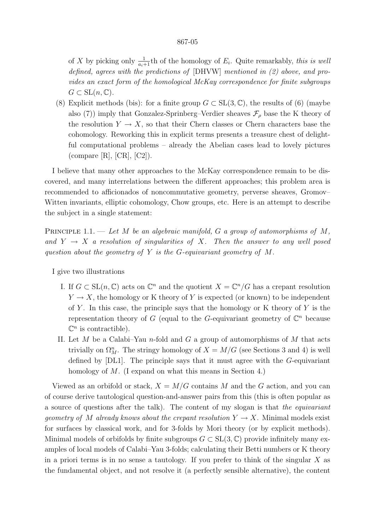of X by picking only  $\frac{1}{a_i+1}$ th of the homology of  $E_i$ . Quite remarkably, this is well defined, agrees with the predictions of [DHVW] mentioned in (2) above, and provides an exact form of the homological McKay correspondence for finite subgroups  $G \subset SL(n, \mathbb{C}).$ 

(8) Explicit methods (bis): for a finite group  $G \subset SL(3, \mathbb{C})$ , the results of (6) (maybe also (7)) imply that Gonzalez-Sprinberg–Verdier sheaves  $\mathcal{F}_{\rho}$  base the K theory of the resolution  $Y \to X$ , so that their Chern classes or Chern characters base the cohomology. Reworking this in explicit terms presents a treasure chest of delightful computational problems – already the Abelian cases lead to lovely pictures  $\rm(compare [R], [CR], [C2]).$ 

I believe that many other approaches to the McKay correspondence remain to be discovered, and many interrelations between the different approaches; this problem area is recommended to afficionados of noncommutative geometry, perverse sheaves, Gromov– Witten invariants, elliptic cohomology, Chow groups, etc. Here is an attempt to describe the subject in a single statement:

PRINCIPLE 1.1. — Let M be an algebraic manifold, G a group of automorphisms of M, and  $Y \rightarrow X$  a resolution of singularities of X. Then the answer to any well posed question about the geometry of Y is the G-equivariant geometry of  $M$ .

I give two illustrations

- I. If  $G \subset SL(n, \mathbb{C})$  acts on  $\mathbb{C}^n$  and the quotient  $X = \mathbb{C}^n/G$  has a crepant resolution  $Y \to X$ , the homology or K theory of Y is expected (or known) to be independent of Y. In this case, the principle says that the homology or K theory of Y is the representation theory of G (equal to the G-equivariant geometry of  $\mathbb{C}^n$  because  $\mathbb{C}^n$  is contractible).
- II. Let M be a Calabi–Yau n-fold and G a group of automorphisms of M that acts trivially on  $\Omega^n_M$ . The stringy homology of  $X = M/G$  (see Sections 3 and 4) is well defined by [DL1]. The principle says that it must agree with the G-equivariant homology of M. (I expand on what this means in Section 4.)

Viewed as an orbifold or stack,  $X = M/G$  contains M and the G action, and you can of course derive tautological question-and-answer pairs from this (this is often popular as a source of questions after the talk). The content of my slogan is that the equivariant geometry of M already knows about the crepant resolution  $Y \to X$ . Minimal models exist for surfaces by classical work, and for 3-folds by Mori theory (or by explicit methods). Minimal models of orbifolds by finite subgroups  $G \subset SL(3,\mathbb{C})$  provide infinitely many examples of local models of Calabi–Yau 3-folds; calculating their Betti numbers or K theory in a priori terms is in no sense a tautology. If you prefer to think of the singular  $X$  as the fundamental object, and not resolve it (a perfectly sensible alternative), the content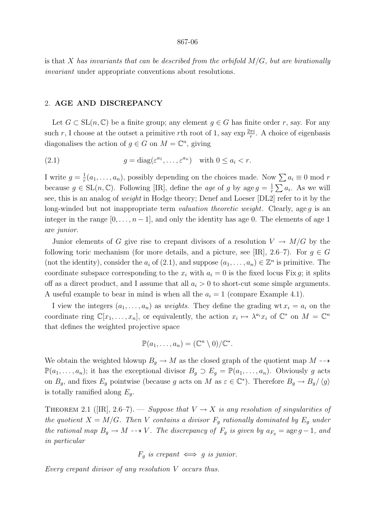is that X has invariants that can be described from the orbifold  $M/G$ , but are birationally invariant under appropriate conventions about resolutions.

# 2. AGE AND DISCREPANCY

Let  $G \subset SL(n, \mathbb{C})$  be a finite group; any element  $g \in G$  has finite order r, say. For any such r, I choose at the outset a primitive rth root of 1, say  $\exp{\frac{2\pi i}{r}}$ . A choice of eigenbasis diagonalises the action of  $g \in G$  on  $M = \mathbb{C}^n$ , giving

(2.1) 
$$
g = \text{diag}(\varepsilon^{a_1}, \dots, \varepsilon^{a_n}) \text{ with } 0 \le a_i < r.
$$

I write  $g=\frac{1}{r}$  $\frac{1}{r}(a_1,\ldots,a_n)$ , possibly depending on the choices made. Now  $\sum a_i \equiv 0 \mod r$ because  $g \in SL(n, \mathbb{C})$ . Following [IR], define the *age* of g by age  $g = \frac{1}{r}$  $\frac{1}{r} \sum a_i$ . As we will see, this is an analog of weight in Hodge theory; Denef and Loeser [DL2] refer to it by the long-winded but not inappropriate term *valuation theoretic weight*. Clearly, age q is an integer in the range  $[0, \ldots, n-1]$ , and only the identity has age 0. The elements of age 1 are junior.

Junior elements of G give rise to crepant divisors of a resolution  $V \to M/G$  by the following toric mechanism (for more details, and a picture, see [IR], 2.6–7). For  $q \in G$ (not the identity), consider the  $a_i$  of (2.1), and suppose  $(a_1, \ldots, a_n) \in \mathbb{Z}^n$  is primitive. The coordinate subspace corresponding to the  $x_i$  with  $a_i = 0$  is the fixed locus Fix q; it splits off as a direct product, and I assume that all  $a_i > 0$  to short-cut some simple arguments. A useful example to bear in mind is when all the  $a_i = 1$  (compare Example 4.1).

I view the integers  $(a_1, \ldots, a_n)$  as weights. They define the grading wt  $x_i = a_i$  on the coordinate ring  $\mathbb{C}[x_1,\ldots,x_n]$ , or equivalently, the action  $x_i \mapsto \lambda^{a_i} x_i$  of  $\mathbb{C}^*$  on  $M = \mathbb{C}^n$ that defines the weighted projective space

$$
\mathbb{P}(a_1,\ldots,a_n)=(\mathbb{C}^n\setminus 0)/\mathbb{C}^*.
$$

We obtain the weighted blowup  $B_q \to M$  as the closed graph of the quotient map  $M \dashrightarrow$  $\mathbb{P}(a_1,\ldots,a_n)$ ; it has the exceptional divisor  $B_g \supset E_g = \mathbb{P}(a_1,\ldots,a_n)$ . Obviously g acts on  $B_g$ , and fixes  $E_g$  pointwise (because g acts on M as  $\varepsilon \in \mathbb{C}^*$ ). Therefore  $B_g \to B_g/\langle g \rangle$ is totally ramified along  $E_a$ .

THEOREM 2.1 ([IR], 2.6–7). — Suppose that  $V \to X$  is any resolution of singularities of the quotient  $X = M/G$ . Then V contains a divisor  $F<sub>g</sub>$  rationally dominated by  $E<sub>g</sub>$  under the rational map  $B_g \to M \dashrightarrow V$ . The discrepancy of  $F_g$  is given by  $a_{F_g} = \text{age } g - 1$ , and in particular

 $F_q$  is crepant  $\iff$  g is junior.

Every crepant divisor of any resolution V occurs thus.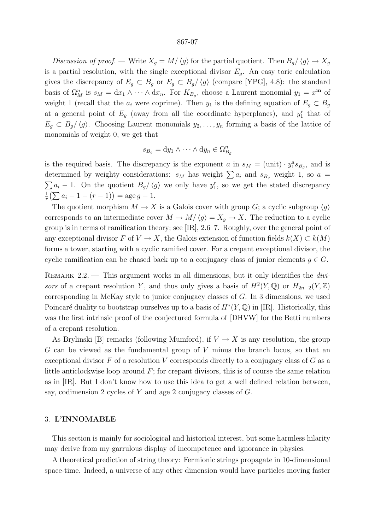Discussion of proof. — Write  $X_g = M/\langle g \rangle$  for the partial quotient. Then  $B_g/\langle g \rangle \to X_g$ is a partial resolution, with the single exceptional divisor  $E_q$ . An easy toric calculation gives the discrepancy of  $E_g \subset B_g$  or  $E_g \subset B_g/\langle g \rangle$  (compare [YPG], 4.8): the standard basis of  $\Omega_M^n$  is  $s_M = dx_1 \wedge \cdots \wedge dx_n$ . For  $K_{B_g}$ , choose a Laurent monomial  $y_1 = x^m$  of weight 1 (recall that the  $a_i$  were coprime). Then  $y_1$  is the defining equation of  $E_g \subset B_g$ at a general point of  $E_g$  (away from all the coordinate hyperplanes), and  $y_1^r$  that of  $E_g \subset B_g/\langle g \rangle$ . Choosing Laurent monomials  $y_2, \ldots, y_n$  forming a basis of the lattice of monomials of weight 0, we get that

$$
s_{B_g} = dy_1 \wedge \cdots \wedge dy_n \in \Omega_{B_g}^n
$$

is the required basis. The discrepancy is the exponent a in  $s_M = (\text{unit}) \cdot y_1^a s_{B_g}$ , and is determined by weighty considerations:  $s_M$  has weight  $\sum a_i$  and  $s_{B_g}$  weight 1, so  $a =$  $\sum a_i - 1$ . On the quotient  $B_g / \langle g \rangle$  we only have  $y_1^r$ , so we get the stated discrepancy 1  $\frac{1}{r}(\sum a_i - 1 - (r - 1)) = \text{age } g - 1.$ 

The quotient morphism  $M \to X$  is a Galois cover with group G; a cyclic subgroup  $\langle q \rangle$ corresponds to an intermediate cover  $M \to M/\langle g \rangle = X_q \to X$ . The reduction to a cyclic group is in terms of ramification theory; see [IR], 2.6–7. Roughly, over the general point of any exceptional divisor F of  $V \to X$ , the Galois extension of function fields  $k(X) \subset k(M)$ forms a tower, starting with a cyclic ramified cover. For a crepant exceptional divisor, the cyclic ramification can be chased back up to a conjugacy class of junior elements  $g \in G$ .

REMARK  $2.2.$  — This argument works in all dimensions, but it only identifies the *divi*sors of a crepant resolution Y, and thus only gives a basis of  $H^2(Y, \mathbb{Q})$  or  $H_{2n-2}(Y, \mathbb{Z})$ corresponding in McKay style to junior conjugacy classes of  $G$ . In 3 dimensions, we used Poincaré duality to bootstrap ourselves up to a basis of  $H^*(Y, \mathbb{Q})$  in [IR]. Historically, this was the first intrinsic proof of the conjectured formula of [DHVW] for the Betti numbers of a crepant resolution.

As Brylinski [B] remarks (following Mumford), if  $V \to X$  is any resolution, the group G can be viewed as the fundamental group of V minus the branch locus, so that an exceptional divisor  $F$  of a resolution  $V$  corresponds directly to a conjugacy class of  $G$  as a little anticlockwise loop around  $F$ ; for crepant divisors, this is of course the same relation as in [IR]. But I don't know how to use this idea to get a well defined relation between, say, codimension 2 cycles of Y and age 2 conjugacy classes of G.

# 3. L'INNOMABLE

This section is mainly for sociological and historical interest, but some harmless hilarity may derive from my garrulous display of incompetence and ignorance in physics.

A theoretical prediction of string theory: Fermionic strings propagate in 10-dimensional space-time. Indeed, a universe of any other dimension would have particles moving faster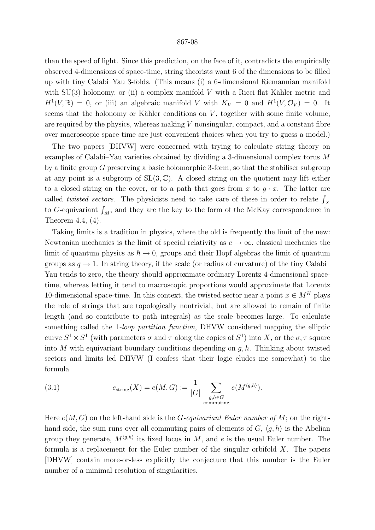than the speed of light. Since this prediction, on the face of it, contradicts the empirically observed 4-dimensions of space-time, string theorists want 6 of the dimensions to be filled up with tiny Calabi–Yau 3-folds. (This means (i) a 6-dimensional Riemannian manifold with  $SU(3)$  holonomy, or (ii) a complex manifold V with a Ricci flat Kähler metric and  $H^1(V,\mathbb{R}) = 0$ , or (iii) an algebraic manifold V with  $K_V = 0$  and  $H^1(V,\mathcal{O}_V) = 0$ . It seems that the holonomy or Kähler conditions on  $V$ , together with some finite volume, are required by the physics, whereas making  $V$  nonsingular, compact, and a constant fibre over macroscopic space-time are just convenient choices when you try to guess a model.)

The two papers [DHVW] were concerned with trying to calculate string theory on examples of Calabi–Yau varieties obtained by dividing a 3-dimensional complex torus M by a finite group G preserving a basic holomorphic 3-form, so that the stabiliser subgroup at any point is a subgroup of  $SL(3,\mathbb{C})$ . A closed string on the quotient may lift either to a closed string on the cover, or to a path that goes from x to  $g \cdot x$ . The latter are called *twisted sectors*. The physicists need to take care of these in order to relate  $\int_X$ to G-equivariant  $\int_M$ , and they are the key to the form of the McKay correspondence in Theorem 4.4, (4).

Taking limits is a tradition in physics, where the old is frequently the limit of the new: Newtonian mechanics is the limit of special relativity as  $c \to \infty$ , classical mechanics the limit of quantum physics as  $\hbar \rightarrow 0$ , groups and their Hopf algebras the limit of quantum groups as  $q \to 1$ . In string theory, if the scale (or radius of curvature) of the tiny Calabi– Yau tends to zero, the theory should approximate ordinary Lorentz 4-dimensional spacetime, whereas letting it tend to macroscopic proportions would approximate flat Lorentz 10-dimensional space-time. In this context, the twisted sector near a point  $x \in M<sup>H</sup>$  plays the role of strings that are topologically nontrivial, but are allowed to remain of finite length (and so contribute to path integrals) as the scale becomes large. To calculate something called the 1-*loop partition function*, DHVW considered mapping the elliptic curve  $S^1 \times S^1$  (with parameters  $\sigma$  and  $\tau$  along the copies of  $S^1$ ) into X, or the  $\sigma$ ,  $\tau$  square into M with equivariant boundary conditions depending on  $g, h$ . Thinking about twisted sectors and limits led DHVW (I confess that their logic eludes me somewhat) to the formula

(3.1) 
$$
e_{\text{string}}(X) = e(M, G) := \frac{1}{|G|} \sum_{\substack{g, h \in G \\ \text{commuting}}} e(M^{\langle g, h \rangle}).
$$

Here  $e(M, G)$  on the left-hand side is the *G*-equivariant Euler number of *M*; on the righthand side, the sum runs over all commuting pairs of elements of  $G, \langle q, h \rangle$  is the Abelian group they generate,  $M^{\langle g,h\rangle}$  its fixed locus in M, and e is the usual Euler number. The formula is a replacement for the Euler number of the singular orbifold  $X$ . The papers [DHVW] contain more-or-less explicitly the conjecture that this number is the Euler number of a minimal resolution of singularities.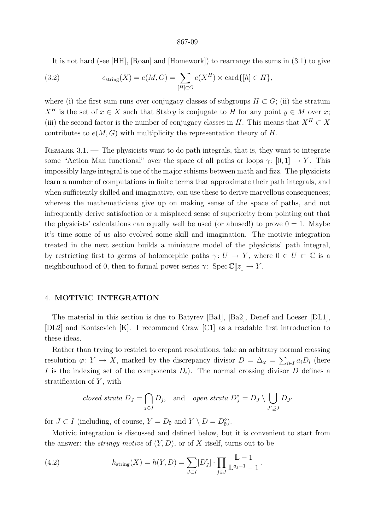It is not hard (see [HH], [Roan] and [Homework]) to rearrange the sums in (3.1) to give

(3.2) 
$$
e_{\text{string}}(X) = e(M, G) = \sum_{[H] \subset G} e(X^H) \times \text{card}\{[h] \in H\},
$$

where (i) the first sum runs over conjugacy classes of subgroups  $H \subset G$ ; (ii) the stratum  $X^H$  is the set of  $x \in X$  such that Stab y is conjugate to H for any point  $y \in M$  over x; (iii) the second factor is the number of conjugacy classes in H. This means that  $X^H \subset X$ contributes to  $e(M, G)$  with multiplicity the representation theory of H.

REMARK  $3.1.$  — The physicists want to do path integrals, that is, they want to integrate some "Action Man functional" over the space of all paths or loops  $\gamma: [0,1] \to Y$ . This impossibly large integral is one of the major schisms between math and fizz. The physicists learn a number of computations in finite terms that approximate their path integrals, and when sufficiently skilled and imaginative, can use these to derive marvellous consequences; whereas the mathematicians give up on making sense of the space of paths, and not infrequently derive satisfaction or a misplaced sense of superiority from pointing out that the physicists' calculations can equally well be used (or abused!) to prove  $0 = 1$ . Maybe it's time some of us also evolved some skill and imagination. The motivic integration treated in the next section builds a miniature model of the physicists' path integral, by restricting first to germs of holomorphic paths  $\gamma: U \to Y$ , where  $0 \in U \subset \mathbb{C}$  is a neighbourhood of 0, then to formal power series  $\gamma$ : Spec  $\mathbb{C}[[z]] \to Y$ .

# 4. MOTIVIC INTEGRATION

The material in this section is due to Batyrev [Ba1], [Ba2], Denef and Loeser [DL1], [DL2] and Kontsevich [K]. I recommend Craw [C1] as a readable first introduction to these ideas.

Rather than trying to restrict to crepant resolutions, take an arbitrary normal crossing resolution  $\varphi: Y \to X$ , marked by the discrepancy divisor  $D = \Delta_{\varphi} = \sum_{i \in I} a_i D_i$  (here I is the indexing set of the components  $D_i$ ). The normal crossing divisor D defines a stratification of  $Y$ , with

closed strata 
$$
D_J = \bigcap_{j \in J} D_j
$$
, and open strata  $D_J^{\circ} = D_J \setminus \bigcup_{J' \supsetneq J} D_{J'}$ 

for  $J \subset I$  (including, of course,  $Y = D_{\emptyset}$  and  $Y \setminus D = D_{\emptyset}^{\circ}$ ).

Motivic integration is discussed and defined below, but it is convenient to start from the answer: the *stringy motive* of  $(Y, D)$ , or of X itself, turns out to be

(4.2) 
$$
h_{\text{string}}(X) = h(Y, D) = \sum_{J \subset I} [D_J^{\circ}] \cdot \prod_{j \in J} \frac{\mathbb{L} - 1}{\mathbb{L}^{a_j + 1} - 1}.
$$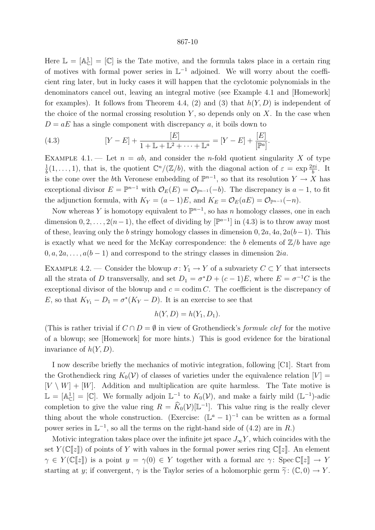Here  $\mathbb{L} = [\mathbb{A}_{\mathbb{C}}^1] = [\mathbb{C}]$  is the Tate motive, and the formula takes place in a certain ring of motives with formal power series in  $\mathbb{L}^{-1}$  adjoined. We will worry about the coefficient ring later, but in lucky cases it will happen that the cyclotomic polynomials in the denominators cancel out, leaving an integral motive (see Example 4.1 and [Homework] for examples). It follows from Theorem 4.4, (2) and (3) that  $h(Y, D)$  is independent of the choice of the normal crossing resolution  $Y$ , so depends only on  $X$ . In the case when  $D = aE$  has a single component with discrepancy a, it boils down to

(4.3) 
$$
[Y - E] + \frac{[E]}{1 + \mathbb{L} + \mathbb{L}^2 + \dots + \mathbb{L}^a} = [Y - E] + \frac{[E]}{[\mathbb{P}^a]}.
$$

EXAMPLE 4.1. — Let  $n = ab$ , and consider the *n*-fold quotient singularity X of type 1  $\frac{1}{b}(1,\ldots,1)$ , that is, the quotient  $\mathbb{C}^n/(\mathbb{Z}/b)$ , with the diagonal action of  $\varepsilon = \exp \frac{2\pi i}{b}$ . It is the cone over the b<sup>th</sup> Veronese embedding of  $\mathbb{P}^{n-1}$ , so that its resolution  $Y \to X$  has exceptional divisor  $E = \mathbb{P}^{n-1}$  with  $\mathcal{O}_E(E) = \mathcal{O}_{\mathbb{P}^{n-1}}(-b)$ . The discrepancy is  $a-1$ , to fit the adjunction formula, with  $K_Y = (a-1)E$ , and  $K_E = \mathcal{O}_E(aE) = \mathcal{O}_{\mathbb{P}^{n-1}}(-n)$ .

Now whereas Y is homotopy equivalent to  $\mathbb{P}^{n-1}$ , so has n homology classes, one in each dimension  $0, 2, \ldots, 2(n-1)$ , the effect of dividing by  $[\mathbb{P}^{a-1}]$  in  $(4.3)$  is to throw away most of these, leaving only the b stringy homology classes in dimension  $0, 2a, 4a, 2a(b-1)$ . This is exactly what we need for the McKay correspondence: the b elements of  $\mathbb{Z}/b$  have age  $0, a, 2a, \ldots, a(b-1)$  and correspond to the stringy classes in dimension  $2ia$ .

EXAMPLE 4.2. — Consider the blowup  $\sigma: Y_1 \to Y$  of a subvariety  $C \subset Y$  that intersects all the strata of D transversally, and set  $D_1 = \sigma^* D + (c - 1)E$ , where  $E = \sigma^{-1} C$  is the exceptional divisor of the blowup and  $c = \text{codim } C$ . The coefficient is the discrepancy of E, so that  $K_{Y_1} - D_1 = \sigma^*(K_Y - D)$ . It is an exercise to see that

$$
h(Y, D) = h(Y_1, D_1).
$$

(This is rather trivial if  $C \cap D = \emptyset$  in view of Grothendieck's *formule clef* for the motive of a blowup; see [Homework] for more hints.) This is good evidence for the birational invariance of  $h(Y, D)$ .

I now describe briefly the mechanics of motivic integration, following [C1]. Start from the Grothendieck ring  $K_0(V)$  of classes of varieties under the equivalence relation  $[V] =$  $[V \setminus W] + [W]$ . Addition and multiplication are quite harmless. The Tate motive is  $\mathbb{L} = [\mathbb{A}_{\mathbb{C}}^1] = [\mathbb{C}]$ . We formally adjoin  $\mathbb{L}^{-1}$  to  $K_0(\mathcal{V})$ , and make a fairly mild  $(\mathbb{L}^{-1})$ -adic completion to give the value ring  $R = \widehat{K}_0(\mathcal{V})[\mathbb{L}^{-1}]$ . This value ring is the really clever thing about the whole construction. (Exercise:  $(\mathbb{L}^a - 1)^{-1}$  can be written as a formal power series in  $\mathbb{L}^{-1}$ , so all the terms on the right-hand side of (4.2) are in R.)

Motivic integration takes place over the infinite jet space  $J_{\infty}Y$ , which coincides with the set  $Y(\mathbb{C}[\![z]\!])$  of points of Y with values in the formal power series ring  $\mathbb{C}[\![z]\!]$ . An element  $\gamma \in Y(\mathbb{C}[\![z]\!])$  is a point  $y = \gamma(0) \in Y$  together with a formal arc  $\gamma: \text{Spec } \mathbb{C}[\![z]\!] \to Y$ starting at y; if convergent,  $\gamma$  is the Taylor series of a holomorphic germ  $\tilde{\gamma}$ :  $(\mathbb{C}, 0) \to Y$ .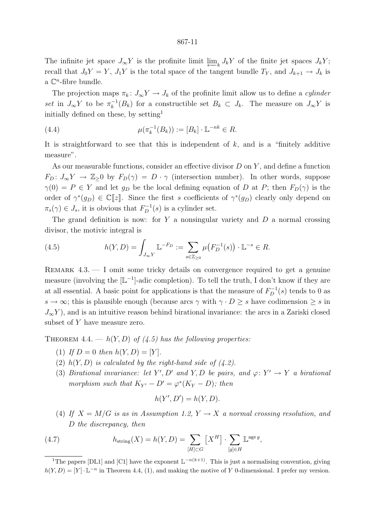The infinite jet space  $J_{\infty}Y$  is the profinite limit  $\varprojlim_k J_kY$  of the finite jet spaces  $J_kY$ ; recall that  $J_0Y = Y$ ,  $J_1Y$  is the total space of the tangent bundle  $T_Y$ , and  $J_{k+1} \to J_k$  is a  $\mathbb{C}^n$ -fibre bundle.

The projection maps  $\pi_k: J_{\infty}Y \to J_k$  of the profinite limit allow us to define a *cylinder* set in  $J_{\infty}Y$  to be  $\pi_k^{-1}$  $k_k^{-1}(B_k)$  for a constructible set  $B_k \subset J_k$ . The measure on  $J_{\infty}Y$  is initially defined on these, by setting<sup>1</sup>

(4.4) 
$$
\mu(\pi_k^{-1}(B_k)) := [B_k] \cdot \mathbb{L}^{-nk} \in R.
$$

It is straightforward to see that this is independent of  $k$ , and is a "finitely additive measure".

As our measurable functions, consider an effective divisor  $D$  on  $Y$ , and define a function  $F_D: J_{\infty}Y \to \mathbb{Z}_{>0}$  by  $F_D(\gamma) = D \cdot \gamma$  (intersection number). In other words, suppose  $\gamma(0) = P \in Y$  and let  $g_D$  be the local defining equation of D at P; then  $F_D(\gamma)$  is the order of  $\gamma^*(g_D) \in \mathbb{C}[[z]]$ . Since the first s coefficients of  $\gamma^*(g_D)$  clearly only depend on  $\pi_s(\gamma) \in J_s$ , it is obvious that  $F_D^{-1}(s)$  is a cylinder set.

The grand definition is now: for  $Y$  a nonsingular variety and  $D$  a normal crossing divisor, the motivic integral is

(4.5) 
$$
h(Y, D) = \int_{J_{\infty}Y} \mathbb{L}^{-F_D} := \sum_{s \in \mathbb{Z}_{\geq 0}} \mu\big(F_D^{-1}(s)\big) \cdot \mathbb{L}^{-s} \in R.
$$

REMARK  $4.3.$   $\qquad$  I omit some tricky details on convergence required to get a genuine measure (involving the  $[L^{-1}]$ -adic completion). To tell the truth, I don't know if they are at all essential. A basic point for applications is that the measure of  $F_D^{-1}(s)$  tends to 0 as  $s \to \infty$ ; this is plausible enough (because arcs  $\gamma$  with  $\gamma \cdot D \geq s$  have codimension  $\geq s$  in  $J_{\infty}Y$ ), and is an intuitive reason behind birational invariance: the arcs in a Zariski closed subset of Y have measure zero.

THEOREM 4.4. —  $h(Y, D)$  of (4.5) has the following properties:

- (1) If  $D = 0$  then  $h(Y, D) = [Y].$
- (2)  $h(Y, D)$  is calculated by the right-hand side of (4.2).
- (3) Birational invariance: let Y', D' and Y, D be pairs, and  $\varphi: Y' \to Y$  a birational morphism such that  $K_{Y'} - D' = \varphi^*(K_Y - D)$ ; then

$$
h(Y', D') = h(Y, D).
$$

(4) If  $X = M/G$  is as in Assumption 1.2,  $Y \to X$  a normal crossing resolution, and D the discrepancy, then

(4.7) 
$$
h_{\text{string}}(X) = h(Y, D) = \sum_{[H] \subset G} [X^H] \cdot \sum_{[g] \in H} \mathbb{L}^{\text{age } g},
$$

<sup>&</sup>lt;sup>1</sup>The papers [DL1] and [C1] have the exponent  $\mathbb{L}^{-n(k+1)}$ . This is just a normalising convention, giving  $h(Y, D) = [Y] \cdot \mathbb{L}^{-n}$  in Theorem 4.4, (1), and making the motive of Y 0-dimensional. I prefer my version.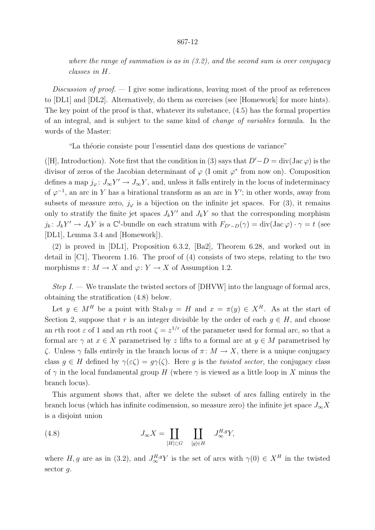where the range of summation is as in  $(3.2)$ , and the second sum is over conjugacy classes in H.

Discussion of proof.  $-1$  give some indications, leaving most of the proof as references to [DL1] and [DL2]. Alternatively, do them as exercises (see [Homework] for more hints). The key point of the proof is that, whatever its substance, (4.5) has the formal properties of an integral, and is subject to the same kind of change of variables formula. In the words of the Master:

"La théorie consiste pour l'essentiel dans des questions de variance"

([H], Introduction). Note first that the condition in (3) says that  $D'-D = \text{div}(\text{Jac}\,\varphi)$  is the divisor of zeros of the Jacobian determinant of  $\varphi$  (I omit  $\varphi^*$  from now on). Composition defines a map  $j_{\varphi} \colon J_{\infty} Y' \to J_{\infty} Y$ , and, unless it falls entirely in the locus of indeterminacy of  $\varphi^{-1}$ , an arc in Y has a birational transform as an arc in Y'; in other words, away from subsets of measure zero,  $j_{\varphi}$  is a bijection on the infinite jet spaces. For (3), it remains only to stratify the finite jet spaces  $J_k Y'$  and  $J_k Y$  so that the corresponding morphism  $j_k: J_kY' \to J_kY$  is a  $\mathbb{C}^t$ -bundle on each stratum with  $F_{D'-D}(\gamma) = \text{div}(\text{Jac}\,\varphi) \cdot \gamma = t$  (see [DL1], Lemma 3.4 and [Homework]).

(2) is proved in [DL1], Proposition 6.3.2, [Ba2], Theorem 6.28, and worked out in detail in [C1], Theorem 1.16. The proof of (4) consists of two steps, relating to the two morphisms  $\pi \colon M \to X$  and  $\varphi \colon Y \to X$  of Assumption 1.2.

Step  $I.$  — We translate the twisted sectors of [DHVW] into the language of formal arcs, obtaining the stratification (4.8) below.

Let  $y \in M^H$  be a point with Stab  $y = H$  and  $x = \pi(y) \in X^H$ . As at the start of Section 2, suppose that r is an integer divisible by the order of each  $g \in H$ , and choose an rth root  $\varepsilon$  of 1 and an rth root  $\zeta = z^{1/r}$  of the parameter used for formal arc, so that a formal arc  $\gamma$  at  $x \in X$  parametrised by z lifts to a formal arc at  $y \in M$  parametrised by ζ. Unless γ falls entirely in the branch locus of π : M → X, there is a unique conjugacy class  $q \in H$  defined by  $\gamma(\varepsilon \zeta) = q\gamma(\zeta)$ . Here q is the *twisted sector*, the conjugacy class of  $\gamma$  in the local fundamental group H (where  $\gamma$  is viewed as a little loop in X minus the branch locus).

This argument shows that, after we delete the subset of arcs falling entirely in the branch locus (which has infinite codimension, so measure zero) the infinite jet space  $J_{\infty}X$ is a disjoint union

(4.8) 
$$
J_{\infty}X = \coprod_{[H]\subset G} \coprod_{[g]\in H} J_{\infty}^{H,g}Y,
$$

where H, g are as in (3.2), and  $J^{H,g}_{\infty}Y$  is the set of arcs with  $\gamma(0) \in X^H$  in the twisted sector q.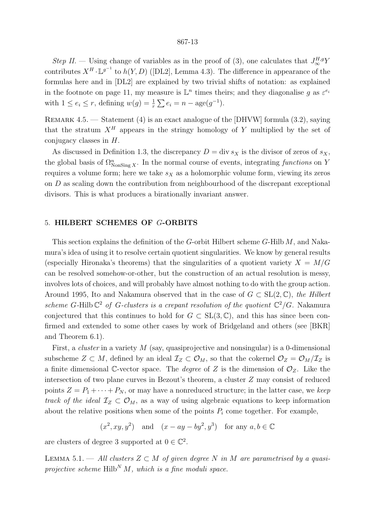Step II. – Using change of variables as in the proof of (3), one calculates that  $J^{H,g}_{\infty}Y$ contributes  $X^H \cdot \mathbb{L}^{g^{-1}}$  to  $h(Y, D)$  ([DL2], Lemma 4.3). The difference in appearance of the formulas here and in [DL2] are explained by two trivial shifts of notation: as explained in the footnote on page 11, my measure is  $\mathbb{L}^n$  times theirs; and they diagonalise g as  $\varepsilon^{e_i}$ with  $1 \le e_i \le r$ , defining  $w(g) = \frac{1}{r} \sum e_i = n - \text{age}(g^{-1})$ .

Remark 4.5. — Statement (4) is an exact analogue of the [DHVW] formula (3.2), saying that the stratum  $X^H$  appears in the stringy homology of Y multiplied by the set of conjugacy classes in  $H$ .

As discussed in Definition 1.3, the discrepancy  $D = \text{div } s_X$  is the divisor of zeros of  $s_X$ , the global basis of  $\Omega_{\text{NonSing }X}^n$ . In the normal course of events, integrating functions on Y requires a volume form; here we take  $s_X$  as a holomorphic volume form, viewing its zeros on D as scaling down the contribution from neighbourhood of the discrepant exceptional divisors. This is what produces a birationally invariant answer.

# 5. HILBERT SCHEMES OF G-ORBITS

This section explains the definition of the G-orbit Hilbert scheme  $G$ -Hilb  $M$ , and Nakamura's idea of using it to resolve certain quotient singularities. We know by general results (especially Hironaka's theorems) that the singularities of a quotient variety  $X = M/G$ can be resolved somehow-or-other, but the construction of an actual resolution is messy, involves lots of choices, and will probably have almost nothing to do with the group action. Around 1995, Ito and Nakamura observed that in the case of  $G \subset SL(2,\mathbb{C})$ , the Hilbert scheme G-Hilb  $\mathbb{C}^2$  of G-clusters is a crepant resolution of the quotient  $\mathbb{C}^2/G$ . Nakamura conjectured that this continues to hold for  $G \subset SL(3, \mathbb{C})$ , and this has since been confirmed and extended to some other cases by work of Bridgeland and others (see [BKR] and Theorem 6.1).

First, a *cluster* in a variety M (say, quasiprojective and nonsingular) is a 0-dimensional subscheme  $Z \subset M$ , defined by an ideal  $\mathcal{I}_Z \subset \mathcal{O}_M$ , so that the cokernel  $\mathcal{O}_Z = \mathcal{O}_M/\mathcal{I}_Z$  is a finite dimensional C-vector space. The *degree* of Z is the dimension of  $\mathcal{O}_Z$ . Like the intersection of two plane curves in Bezout's theorem, a cluster Z may consist of reduced points  $Z = P_1 + \cdots + P_N$ , or may have a nonreduced structure; in the latter case, we keep track of the ideal  $\mathcal{I}_Z \subset \mathcal{O}_M$ , as a way of using algebraic equations to keep information about the relative positions when some of the points  $P_i$  come together. For example,

 $(x^2, xy, y^2)$  and  $(x - ay - by^2, y^3)$  for any  $a, b \in \mathbb{C}$ 

are clusters of degree 3 supported at  $0 \in \mathbb{C}^2$ .

LEMMA 5.1. — All clusters  $Z \subset M$  of given degree N in M are parametrised by a quasiprojective scheme  $Hilb<sup>N</sup> M$ , which is a fine moduli space.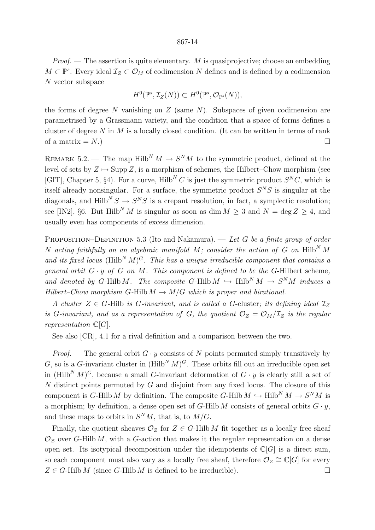*Proof.* — The assertion is quite elementary. M is quasiprojective; choose an embedding  $M \subset \mathbb{P}^s$ . Every ideal  $\mathcal{I}_Z \subset \mathcal{O}_M$  of codimension N defines and is defined by a codimension N vector subspace

$$
H^0(\mathbb{P}^s, \mathcal{I}_Z(N)) \subset H^0(\mathbb{P}^s, \mathcal{O}_{\mathbb{P}^s}(N)),
$$

the forms of degree N vanishing on  $Z$  (same N). Subspaces of given codimension are parametrised by a Grassmann variety, and the condition that a space of forms defines a cluster of degree N in M is a locally closed condition. (It can be written in terms of rank of a matrix  $=N$ .)

REMARK 5.2. — The map Hilb<sup>N</sup>  $M \rightarrow S^{N}M$  to the symmetric product, defined at the level of sets by  $Z \mapsto \text{Supp } Z$ , is a morphism of schemes, the Hilbert–Chow morphism (see [GIT], Chapter 5, §4). For a curve, Hilb<sup>N</sup> C is just the symmetric product  $S<sup>N</sup>C$ , which is itself already nonsingular. For a surface, the symmetric product  $S<sup>N</sup>S$  is singular at the diagonals, and Hilb<sup>N</sup>  $S \to S^N S$  is a crepant resolution, in fact, a symplectic resolution; see [IN2], §6. But Hilb<sup>N</sup> M is singular as soon as dim  $M \geq 3$  and  $N = \deg Z \geq 4$ , and usually even has components of excess dimension.

PROPOSITION–DEFINITION 5.3 (Ito and Nakamura). — Let G be a finite group of order N acting faithfully on an algebraic manifold M; consider the action of G on  $Hilb<sup>N</sup> M$ and its fixed locus (Hilb<sup>N</sup> M)<sup>G</sup>. This has a unique irreducible component that contains a general orbit  $G \cdot y$  of  $G$  on  $M$ . This component is defined to be the G-Hilbert scheme, and denoted by G-Hilb M. The composite G-Hilb  $M \hookrightarrow Hilb^N M \rightarrow S^N M$  induces a Hilbert–Chow morphism G-Hilb  $M \to M/G$  which is proper and birational.

A cluster  $Z \in G$ -Hilb is G-invariant, and is called a G-cluster; its defining ideal  $\mathcal{I}_Z$ is G-invariant, and as a representation of G, the quotient  $\mathcal{O}_Z = \mathcal{O}_M/\mathcal{I}_Z$  is the regular representation  $\mathbb{C}[G]$ .

See also [CR], 4.1 for a rival definition and a comparison between the two.

*Proof.* — The general orbit  $G \cdot y$  consists of N points permuted simply transitively by G, so is a G-invariant cluster in  $(Hilb<sup>N</sup> M)<sup>G</sup>$ . These orbits fill out an irreducible open set in  $(Hilb<sup>N</sup> M)<sup>G</sup>$ , because a small G-invariant deformation of  $G \cdot y$  is clearly still a set of  $N$  distinct points permuted by  $G$  and disjoint from any fixed locus. The closure of this component is G-Hilb M by definition. The composite G-Hilb  $M \hookrightarrow Hilb^N M \to S^N M$  is a morphism; by definition, a dense open set of G-Hilb M consists of general orbits  $G \cdot y$ , and these maps to orbits in  $S^{N}M$ , that is, to  $M/G$ .

Finally, the quotient sheaves  $\mathcal{O}_Z$  for  $Z \in G$ -Hilb M fit together as a locally free sheaf  $\mathcal{O}_z$  over G-Hilb M, with a G-action that makes it the regular representation on a dense open set. Its isotypical decomposition under the idempotents of  $\mathbb{C}[G]$  is a direct sum, so each component must also vary as a locally free sheaf, therefore  $\mathcal{O}_Z \cong \mathbb{C}[G]$  for every  $Z \in G$ -Hilb M (since G-Hilb M is defined to be irreducible).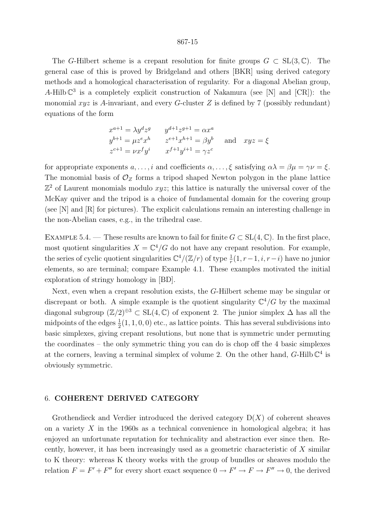The G-Hilbert scheme is a crepant resolution for finite groups  $G \subset SL(3,\mathbb{C})$ . The general case of this is proved by Bridgeland and others [BKR] using derived category methods and a homological characterisation of regularity. For a diagonal Abelian group, A-Hilb  $\mathbb{C}^3$  is a completely explicit construction of Nakamura (see [N] and [CR]): the monomial  $xyz$  is A-invariant, and every G-cluster Z is defined by 7 (possibly redundant) equations of the form

$$
x^{a+1} = \lambda y^d z^g
$$
  
\n
$$
y^{b+1} = \mu z^e x^h
$$
  
\n
$$
y^{b+1} = \mu z^e x^h
$$
  
\n
$$
y^{b+1} = \mu z^e x^h
$$
  
\n
$$
z^{e+1} x^{h+1} = \beta y^b
$$
  
\n
$$
x^{c+1} = \nu x^f y^i
$$
  
\n
$$
x^{f+1} y^{i+1} = \gamma z^c
$$
  
\nand 
$$
x y z = \xi
$$

for appropriate exponents  $a, \ldots, i$  and coefficients  $\alpha, \ldots, \xi$  satisfying  $\alpha \lambda = \beta \mu = \gamma \nu = \xi$ . The monomial basis of  $\mathcal{O}_Z$  forms a tripod shaped Newton polygon in the plane lattice  $\mathbb{Z}^2$  of Laurent monomials modulo  $xyz$ ; this lattice is naturally the universal cover of the McKay quiver and the tripod is a choice of fundamental domain for the covering group (see [N] and [R] for pictures). The explicit calculations remain an interesting challenge in the non-Abelian cases, e.g., in the trihedral case.

EXAMPLE 5.4. — These results are known to fail for finite  $G \subset SL(4,\mathbb{C})$ . In the first place, most quotient singularities  $X = \mathbb{C}^4/G$  do not have any crepant resolution. For example, the series of cyclic quotient singularities  $\mathbb{C}^4/(\mathbb{Z}/r)$  of type  $\frac{1}{r}(1, r-1, i, r-i)$  have no junior elements, so are terminal; compare Example 4.1. These examples motivated the initial exploration of stringy homology in [BD].

Next, even when a crepant resolution exists, the G-Hilbert scheme may be singular or discrepant or both. A simple example is the quotient singularity  $\mathbb{C}^4/G$  by the maximal diagonal subgroup  $(\mathbb{Z}/2)^{\oplus 3} \subset SL(4,\mathbb{C})$  of exponent 2. The junior simplex  $\Delta$  has all the midpoints of the edges  $\frac{1}{2}(1, 1, 0, 0)$  etc., as lattice points. This has several subdivisions into basic simplexes, giving crepant resolutions, but none that is symmetric under permuting the coordinates – the only symmetric thing you can do is chop off the 4 basic simplexes at the corners, leaving a terminal simplex of volume 2. On the other hand,  $G$ -Hilb  $\mathbb{C}^4$  is obviously symmetric.

# 6. COHERENT DERIVED CATEGORY

Grothendieck and Verdier introduced the derived category  $D(X)$  of coherent sheaves on a variety  $X$  in the 1960s as a technical convenience in homological algebra; it has enjoyed an unfortunate reputation for technicality and abstraction ever since then. Recently, however, it has been increasingly used as a geometric characteristic of X similar to K theory: whereas K theory works with the group of bundles or sheaves modulo the relation  $F = F' + F''$  for every short exact sequence  $0 \to F' \to F \to F'' \to 0$ , the derived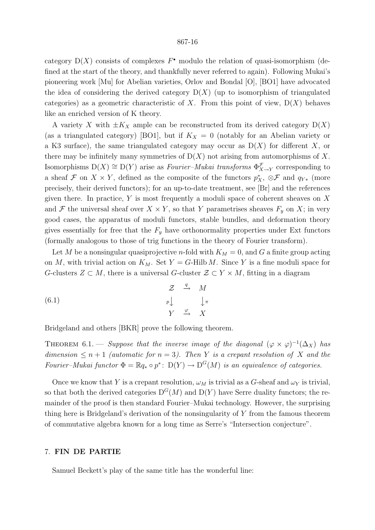category  $D(X)$  consists of complexes  $F^{\bullet}$  modulo the relation of quasi-isomorphism (defined at the start of the theory, and thankfully never referred to again). Following Mukai's pioneering work [Mu] for Abelian varieties, Orlov and Bondal [O], [BO1] have advocated the idea of considering the derived category  $D(X)$  (up to isomorphism of triangulated categories) as a geometric characteristic of X. From this point of view,  $D(X)$  behaves like an enriched version of K theory.

A variety X with  $\pm K_X$  ample can be reconstructed from its derived category  $D(X)$ (as a triangulated category) [BO1], but if  $K_X = 0$  (notably for an Abelian variety or a K3 surface), the same triangulated category may occur as  $D(X)$  for different X, or there may be infinitely many symmetries of  $D(X)$  not arising from automorphisms of X. Isomorphisms  $D(X) \cong D(Y)$  arise as *Fourier–Mukai transforms*  $\Phi_{X\to Y}^{\mathcal{F}}$  corresponding to a sheaf F on  $X \times Y$ , defined as the composite of the functors  $p_X^*$ ,  $\otimes \mathcal{F}$  and  $q_{Y*}$  (more precisely, their derived functors); for an up-to-date treatment, see [Br] and the references given there. In practice,  $Y$  is most frequently a moduli space of coherent sheaves on  $X$ and F the universal sheaf over  $X \times Y$ , so that Y parametrises sheaves  $F_y$  on X; in very good cases, the apparatus of moduli functors, stable bundles, and deformation theory gives essentially for free that the  $F<sub>y</sub>$  have orthonormality properties under Ext functors (formally analogous to those of trig functions in the theory of Fourier transform).

Let M be a nonsingular quasiprojective *n*-fold with  $K_M = 0$ , and G a finite group acting on M, with trivial action on  $K_M$ . Set  $Y = G$ -Hilb M. Since Y is a fine moduli space for G-clusters  $Z \subset M$ , there is a universal G-cluster  $\mathcal{Z} \subset Y \times M$ , fitting in a diagram

(6.1) 
$$
\begin{array}{cccc}\n\mathcal{Z} & \xrightarrow{q} & M \\
\downarrow^{p} & & \downarrow^{\pi} \\
Y & \xrightarrow{\varphi} & X\n\end{array}
$$

Bridgeland and others [BKR] prove the following theorem.

THEOREM 6.1. — Suppose that the inverse image of the diagonal  $(\varphi \times \varphi)^{-1}(\Delta_X)$  has dimension  $\leq n+1$  (automatic for  $n=3$ ). Then Y is a crepant resolution of X and the Fourier–Mukai functor  $\Phi = \mathbb{R} q_* \circ p^* \colon D(Y) \to D^G(M)$  is an equivalence of categories.

Once we know that Y is a crepant resolution,  $\omega_M$  is trivial as a G-sheaf and  $\omega_Y$  is trivial, so that both the derived categories  $D^{G}(M)$  and  $D(Y)$  have Serre duality functors; the remainder of the proof is then standard Fourier–Mukai technology. However, the surprising thing here is Bridgeland's derivation of the nonsingularity of  $Y$  from the famous theorem of commutative algebra known for a long time as Serre's "Intersection conjecture".

# 7. FIN DE PARTIE

Samuel Beckett's play of the same title has the wonderful line: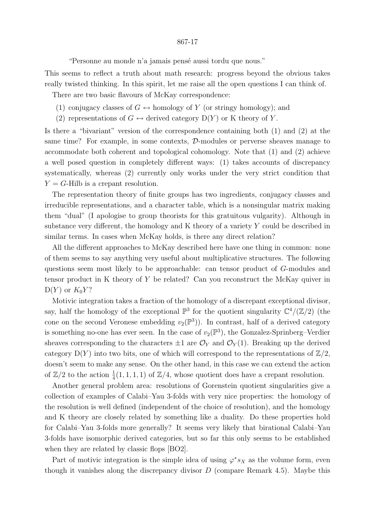"Personne au monde n'a jamais pensé aussi tordu que nous."

This seems to reflect a truth about math research: progress beyond the obvious takes really twisted thinking. In this spirit, let me raise all the open questions I can think of.

There are two basic flavours of McKay correspondence:

- (1) conjugacy classes of  $G \leftrightarrow$  homology of Y (or stringy homology); and
- (2) representations of  $G \leftrightarrow$  derived category  $D(Y)$  or K theory of Y.

Is there a "bivariant" version of the correspondence containing both (1) and (2) at the same time? For example, in some contexts, D-modules or perverse sheaves manage to accommodate both coherent and topological cohomology. Note that (1) and (2) achieve a well posed question in completely different ways: (1) takes accounts of discrepancy systematically, whereas (2) currently only works under the very strict condition that  $Y = G$ -Hilb is a crepant resolution.

The representation theory of finite groups has two ingredients, conjugacy classes and irreducible representations, and a character table, which is a nonsingular matrix making them "dual" (I apologise to group theorists for this gratuitous vulgarity). Although in substance very different, the homology and K theory of a variety Y could be described in similar terms. In cases when McKay holds, is there any direct relation?

All the different approaches to McKay described here have one thing in common: none of them seems to say anything very useful about multiplicative structures. The following questions seem most likely to be approachable: can tensor product of G-modules and tensor product in K theory of Y be related? Can you reconstruct the McKay quiver in  $D(Y)$  or  $K_0Y$ ?

Motivic integration takes a fraction of the homology of a discrepant exceptional divisor, say, half the homology of the exceptional  $\mathbb{P}^3$  for the quotient singularity  $\mathbb{C}^4/(\mathbb{Z}/2)$  (the cone on the second Veronese embedding  $v_2(\mathbb{P}^3)$ . In contrast, half of a derived category is something no-one has ever seen. In the case of  $v_2(\mathbb{P}^3)$ , the Gonzalez-Sprinberg-Verdier sheaves corresponding to the characters  $\pm 1$  are  $\mathcal{O}_Y$  and  $\mathcal{O}_Y(1)$ . Breaking up the derived category  $D(Y)$  into two bits, one of which will correspond to the representations of  $\mathbb{Z}/2$ , doesn't seem to make any sense. On the other hand, in this case we can extend the action of  $\mathbb{Z}/2$  to the action  $\frac{1}{4}(1,1,1,1)$  of  $\mathbb{Z}/4$ , whose quotient does have a crepant resolution.

Another general problem area: resolutions of Gorenstein quotient singularities give a collection of examples of Calabi–Yau 3-folds with very nice properties: the homology of the resolution is well defined (independent of the choice of resolution), and the homology and K theory are closely related by something like a duality. Do these properties hold for Calabi–Yau 3-folds more generally? It seems very likely that birational Calabi–Yau 3-folds have isomorphic derived categories, but so far this only seems to be established when they are related by classic flops [BO2].

Part of motivic integration is the simple idea of using  $\varphi^* s_X$  as the volume form, even though it vanishes along the discrepancy divisor  $D$  (compare Remark 4.5). Maybe this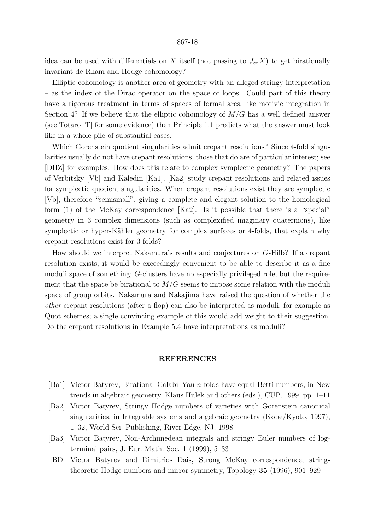idea can be used with differentials on X itself (not passing to  $J_{\infty}X$ ) to get birationally invariant de Rham and Hodge cohomology?

Elliptic cohomology is another area of geometry with an alleged stringy interpretation – as the index of the Dirac operator on the space of loops. Could part of this theory have a rigorous treatment in terms of spaces of formal arcs, like motivic integration in Section 4? If we believe that the elliptic cohomology of  $M/G$  has a well defined answer (see Totaro [T] for some evidence) then Principle 1.1 predicts what the answer must look like in a whole pile of substantial cases.

Which Gorenstein quotient singularities admit crepant resolutions? Since 4-fold singularities usually do not have crepant resolutions, those that do are of particular interest; see [DHZ] for examples. How does this relate to complex symplectic geometry? The papers of Verbitsky [Vb] and Kaledin [Ka1], [Ka2] study crepant resolutions and related issues for symplectic quotient singularities. When crepant resolutions exist they are symplectic [Vb], therefore "semismall", giving a complete and elegant solution to the homological form (1) of the McKay correspondence [Ka2]. Is it possible that there is a "special" geometry in 3 complex dimensions (such as complexified imaginary quaternions), like symplectic or hyper-Kähler geometry for complex surfaces or 4-folds, that explain why crepant resolutions exist for 3-folds?

How should we interpret Nakamura's results and conjectures on G-Hilb? If a crepant resolution exists, it would be exceedingly convenient to be able to describe it as a fine moduli space of something; G-clusters have no especially privileged role, but the requirement that the space be birational to  $M/G$  seems to impose some relation with the moduli space of group orbits. Nakamura and Nakajima have raised the question of whether the other crepant resolutions (after a flop) can also be interpreted as moduli, for example as Quot schemes; a single convincing example of this would add weight to their suggestion. Do the crepant resolutions in Example 5.4 have interpretations as moduli?

## REFERENCES

- [Ba1] Victor Batyrev, Birational Calabi–Yau n-folds have equal Betti numbers, in New trends in algebraic geometry, Klaus Hulek and others (eds.), CUP, 1999, pp. 1–11
- [Ba2] Victor Batyrev, Stringy Hodge numbers of varieties with Gorenstein canonical singularities, in Integrable systems and algebraic geometry (Kobe/Kyoto, 1997), 1–32, World Sci. Publishing, River Edge, NJ, 1998
- [Ba3] Victor Batyrev, Non-Archimedean integrals and stringy Euler numbers of logterminal pairs, J. Eur. Math. Soc. 1 (1999), 5–33
- [BD] Victor Batyrev and Dimitrios Dais, Strong McKay correspondence, stringtheoretic Hodge numbers and mirror symmetry, Topology 35 (1996), 901–929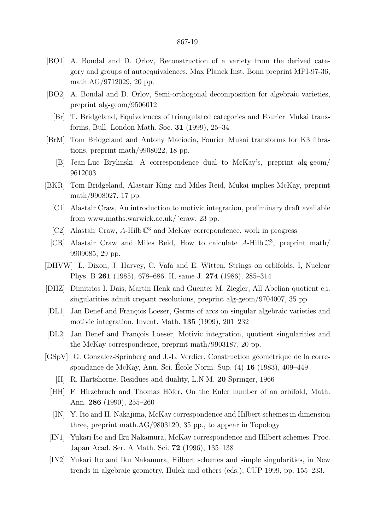- [BO1] A. Bondal and D. Orlov, Reconstruction of a variety from the derived category and groups of autoequivalences, Max Planck Inst. Bonn preprint MPI-97-36, math.AG/9712029, 20 pp.
- [BO2] A. Bondal and D. Orlov, Semi-orthogonal decomposition for algebraic varieties, preprint alg-geom/9506012
	- [Br] T. Bridgeland, Equivalences of triangulated categories and Fourier–Mukai transforms, Bull. London Math. Soc. 31 (1999), 25–34
- [BrM] Tom Bridgeland and Antony Maciocia, Fourier–Mukai transforms for K3 fibrations, preprint math/9908022, 18 pp.
	- [B] Jean-Luc Brylinski, A correspondence dual to McKay's, preprint alg-geom/ 9612003
- [BKR] Tom Bridgeland, Alastair King and Miles Reid, Mukai implies McKay, preprint math/9908027, 17 pp.
	- [C1] Alastair Craw, An introduction to motivic integration, preliminary draft available from www.maths.warwick.ac.uk/˜craw, 23 pp.
	- [C2] Alastair Craw, A-Hilb  $\mathbb{C}^3$  and McKay correpondence, work in progress
	- [CR] Alastair Craw and Miles Reid, How to calculate A-Hilb  $\mathbb{C}^3$ , preprint math/ 9909085, 29 pp.
- [DHVW] L. Dixon, J. Harvey, C. Vafa and E. Witten, Strings on orbifolds. I, Nuclear Phys. B 261 (1985), 678–686. II, same J. 274 (1986), 285–314
- [DHZ] Dimitrios I. Dais, Martin Henk and Guenter M. Ziegler, All Abelian quotient c.i. singularities admit crepant resolutions, preprint alg-geom/9704007, 35 pp.
- [DL1] Jan Denef and François Loeser, Germs of arcs on singular algebraic varieties and motivic integration, Invent. Math. 135 (1999), 201–232
- [DL2] Jan Denef and François Loeser, Motivic integration, quotient singularities and the McKay correspondence, preprint math/9903187, 20 pp.
- [GSpV] G. Gonzalez-Sprinberg and J.-L. Verdier, Construction géométrique de la correspondance de McKay, Ann. Sci. École Norm. Sup.  $(4)$  16 (1983), 409–449
	- [H] R. Hartshorne, Residues and duality, L.N.M. 20 Springer, 1966
	- [HH] F. Hirzebruch and Thomas Höfer, On the Euler number of an orbifold, Math. Ann. 286 (1990), 255–260
	- [IN] Y. Ito and H. Nakajima, McKay correspondence and Hilbert schemes in dimension three, preprint math.AG/9803120, 35 pp., to appear in Topology
	- [IN1] Yukari Ito and Iku Nakamura, McKay correspondence and Hilbert schemes, Proc. Japan Acad. Ser. A Math. Sci. 72 (1996), 135–138
	- [IN2] Yukari Ito and Iku Nakamura, Hilbert schemes and simple singularities, in New trends in algebraic geometry, Hulek and others (eds.), CUP 1999, pp. 155–233.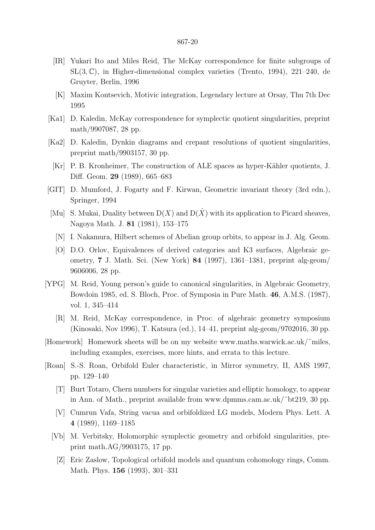- [IR] Yukari Ito and Miles Reid, The McKay correspondence for finite subgroups of  $SL(3,\mathbb{C})$ , in Higher-dimensional complex varieties (Trento, 1994), 221–240, de Gruyter, Berlin, 1996
- [K] Maxim Kontsevich, Motivic integration, Legendary lecture at Orsay, Thu 7th Dec 1995
- [Ka1] D. Kaledin, McKay correspondence for symplectic quotient singularities, preprint math/9907087, 28 pp.
- [Ka2] D. Kaledin, Dynkin diagrams and crepant resolutions of quotient singularities, preprint math/9903157, 30 pp.
- [Kr] P. B. Kronheimer, The construction of ALE spaces as hyper-Kähler quotients, J. Diff. Geom. 29 (1989), 665–683
- [GIT] D. Mumford, J. Fogarty and F. Kirwan, Geometric invariant theory (3rd edn.), Springer, 1994
- [Mu] S. Mukai, Duality between  $D(X)$  and  $D(\hat{X})$  with its application to Picard sheaves, Nagoya Math. J. 81 (1981), 153–175
	- [N] I. Nakamura, Hilbert schemes of Abelian group orbits, to appear in J. Alg. Geom.
	- [O] D.O. Orlov, Equivalences of derived categories and K3 surfaces, Algebraic geometry, 7 J. Math. Sci. (New York) 84 (1997), 1361–1381, preprint alg-geom/ 9606006, 28 pp.
- [YPG] M. Reid, Young person's guide to canonical singularities, in Algebraic Geometry, Bowdoin 1985, ed. S. Bloch, Proc. of Symposia in Pure Math. 46, A.M.S. (1987), vol. 1, 345–414
	- [R] M. Reid, McKay correspondence, in Proc. of algebraic geometry symposium (Kinosaki, Nov 1996), T. Katsura (ed.), 14–41, preprint alg-geom/9702016, 30 pp.
- [Homework] Homework sheets will be on my website www.maths.warwick.ac.uk/˜miles, including examples, exercises, more hints, and errata to this lecture.
- [Roan] S.-S. Roan, Orbifold Euler characteristic, in Mirror symmetry, II, AMS 1997, pp. 129–140
	- [T] Burt Totaro, Chern numbers for singular varieties and elliptic homology, to appear in Ann. of Math., preprint available from www.dpmms.cam.ac.uk/˜bt219, 30 pp.
	- [V] Cumrun Vafa, String vacua and orbifoldized LG models, Modern Phys. Lett. A 4 (1989), 1169–1185
	- [Vb] M. Verbitsky, Holomorphic symplectic geometry and orbifold singularities, preprint math.AG/9903175, 17 pp.
		- [Z] Eric Zaslow, Topological orbifold models and quantum cohomology rings, Comm. Math. Phys. 156 (1993), 301–331